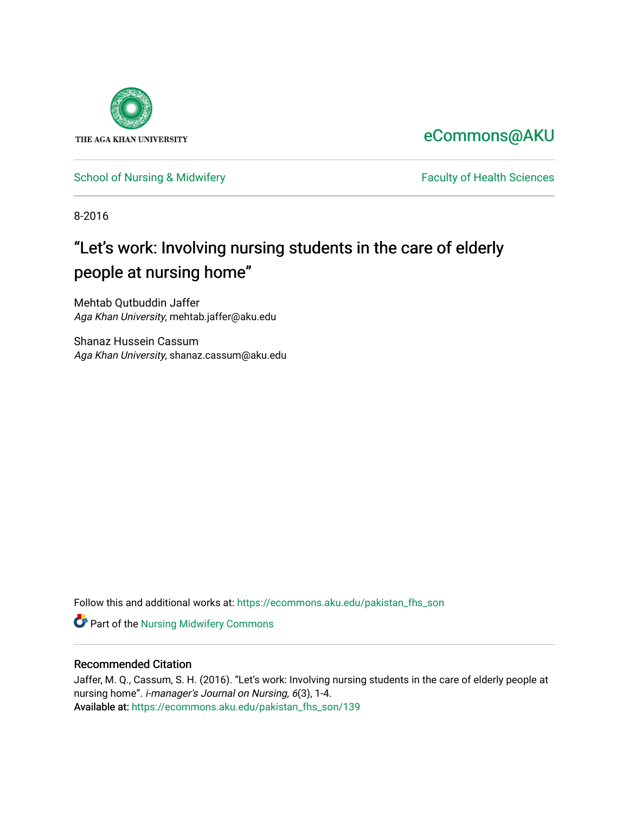

## [eCommons@AKU](https://ecommons.aku.edu/)

## [School of Nursing & Midwifery](https://ecommons.aku.edu/pakistan_fhs_son) **Faculty of Health Sciences** Faculty of Health Sciences

8-2016

## "Let's work: Involving nursing students in the care of elderly people at nursing home"

Mehtab Qutbuddin Jaffer Aga Khan University, mehtab.jaffer@aku.edu

Shanaz Hussein Cassum Aga Khan University, shanaz.cassum@aku.edu

Follow this and additional works at: [https://ecommons.aku.edu/pakistan\\_fhs\\_son](https://ecommons.aku.edu/pakistan_fhs_son?utm_source=ecommons.aku.edu%2Fpakistan_fhs_son%2F139&utm_medium=PDF&utm_campaign=PDFCoverPages) 

Part of the [Nursing Midwifery Commons](http://network.bepress.com/hgg/discipline/722?utm_source=ecommons.aku.edu%2Fpakistan_fhs_son%2F139&utm_medium=PDF&utm_campaign=PDFCoverPages) 

## Recommended Citation

Jaffer, M. Q., Cassum, S. H. (2016). "Let's work: Involving nursing students in the care of elderly people at nursing home". i-manager's Journal on Nursing, 6(3), 1-4. Available at: [https://ecommons.aku.edu/pakistan\\_fhs\\_son/139](https://ecommons.aku.edu/pakistan_fhs_son/139)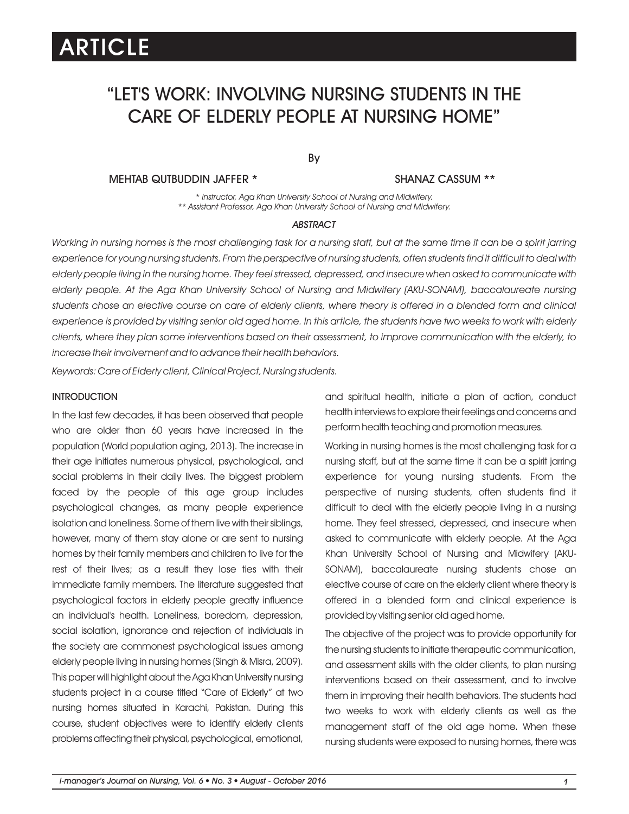# ARTICLE

## "LET'S WORK: INVOLVING NURSING STUDENTS IN THE CARE OF ELDERLY PEOPLE AT NURSING HOME"

## By

MEHTAB QUTBUDDIN JAFFER \*

#### SHANAZ CASSUM \*\*

*\* Instructor, Aga Khan University School of Nursing and Midwifery. \*\* Assistant Professor, Aga Khan University School of Nursing and Midwifery.*

#### *ABSTRACT*

*Working in nursing homes is the most challenging task for a nursing staff, but at the same time it can be a spirit jarring experience for young nursing students. From the perspective of nursing students, often students find it difficult to deal with elderly people living in the nursing home. They feel stressed, depressed, and insecure when asked to communicate with elderly people. At the Aga Khan University School of Nursing and Midwifery (AKU-SONAM), baccalaureate nursing students chose an elective course on care of elderly clients, where theory is offered in a blended form and clinical experience is provided by visiting senior old aged home. In this article, the students have two weeks to work with elderly clients, where they plan some interventions based on their assessment, to improve communication with the elderly, to increase their involvement and to advance their health behaviors.*

*Keywords: Care of Elderly client, Clinical Project, Nursing students.*

### **INTRODUCTION**

In the last few decades, it has been observed that people who are older than 60 years have increased in the population (World population aging, 2013). The increase in their age initiates numerous physical, psychological, and social problems in their daily lives. The biggest problem faced by the people of this age group includes psychological changes, as many people experience isolation and loneliness. Some of them live with their siblings, however, many of them stay alone or are sent to nursing homes by their family members and children to live for the rest of their lives; as a result they lose ties with their immediate family members. The literature suggested that psychological factors in elderly people greatly influence an individual's health. Loneliness, boredom, depression, social isolation, ignorance and rejection of individuals in the society are commonest psychological issues among elderly people living in nursing homes (Singh & Misra, 2009). This paper will highlight about the Aga Khan University nursing students project in a course titled "Care of Elderly" at two nursing homes situated in Karachi, Pakistan. During this course, student objectives were to identify elderly clients problems affecting their physical, psychological, emotional,

and spiritual health, initiate a plan of action, conduct health interviews to explore their feelings and concerns and perform health teaching and promotion measures.

Working in nursing homes is the most challenging task for a nursing staff, but at the same time it can be a spirit jarring experience for young nursing students. From the perspective of nursing students, often students find it difficult to deal with the elderly people living in a nursing home. They feel stressed, depressed, and insecure when asked to communicate with elderly people. At the Aga Khan University School of Nursing and Midwifery (AKU-SONAM), baccalaureate nursing students chose an elective course of care on the elderly client where theory is offered in a blended form and clinical experience is provided by visiting senior old aged home.

The objective of the project was to provide opportunity for the nursing students to initiate therapeutic communication, and assessment skills with the older clients, to plan nursing interventions based on their assessment, and to involve them in improving their health behaviors. The students had two weeks to work with elderly clients as well as the management staff of the old age home. When these nursing students were exposed to nursing homes, there was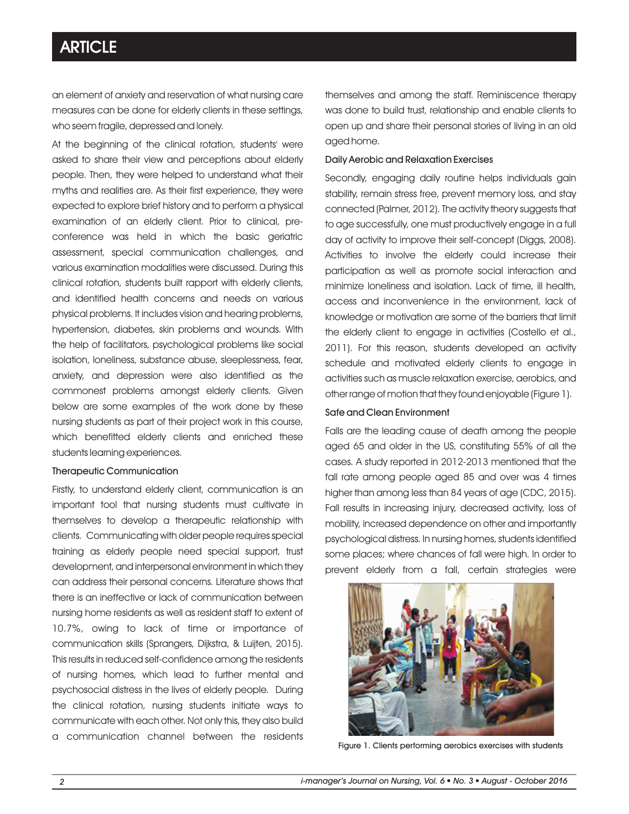## **ARTICLE**

an element of anxiety and reservation of what nursing care measures can be done for elderly clients in these settings, who seem fragile, depressed and lonely.

At the beginning of the clinical rotation, students' were asked to share their view and perceptions about elderly people. Then, they were helped to understand what their myths and realities are. As their first experience, they were expected to explore brief history and to perform a physical examination of an elderly client. Prior to clinical, preconference was held in which the basic geriatric assessment, special communication challenges, and various examination modalities were discussed. During this clinical rotation, students built rapport with elderly clients, and identified health concerns and needs on various physical problems. It includes vision and hearing problems, hypertension, diabetes, skin problems and wounds. With the help of facilitators, psychological problems like social isolation, loneliness, substance abuse, sleeplessness, fear, anxiety, and depression were also identified as the commonest problems amongst elderly clients. Given below are some examples of the work done by these nursing students as part of their project work in this course, which benefitted elderly clients and enriched these students learning experiences.

#### Therapeutic Communication

Firstly, to understand elderly client, communication is an important tool that nursing students must cultivate in themselves to develop a therapeutic relationship with clients. Communicating with older people requires special training as elderly people need special support, trust development, and interpersonal environment in which they can address their personal concerns. Literature shows that there is an ineffective or lack of communication between nursing home residents as well as resident staff to extent of 10.7%, owing to lack of time or importance of communication skills (Sprangers, Dijkstra, & Luijten, 2015). This results in reduced self-confidence among the residents of nursing homes, which lead to further mental and psychosocial distress in the lives of elderly people. During the clinical rotation, nursing students initiate ways to communicate with each other. Not only this, they also build a communication channel between the residents

themselves and among the staff. Reminiscence therapy was done to build trust, relationship and enable clients to open up and share their personal stories of living in an old aged home.

#### Daily Aerobic and Relaxation Exercises

Secondly, engaging daily routine helps individuals gain stability, remain stress free, prevent memory loss, and stay connected (Palmer, 2012). The activity theory suggests that to age successfully, one must productively engage in a full day of activity to improve their self-concept (Diggs, 2008). Activities to involve the elderly could increase their participation as well as promote social interaction and minimize loneliness and isolation. Lack of time, ill health, access and inconvenience in the environment, lack of knowledge or motivation are some of the barriers that limit the elderly client to engage in activities (Costello et al., 2011). For this reason, students developed an activity schedule and motivated elderly clients to engage in activities such as muscle relaxation exercise, aerobics, and other range of motion that they found enjoyable (Figure 1).

## Safe and Clean Environment

Falls are the leading cause of death among the people aged 65 and older in the US, constituting 55% of all the cases. A study reported in 2012-2013 mentioned that the fall rate among people aged 85 and over was 4 times higher than among less than 84 years of age (CDC, 2015). Fall results in increasing injury, decreased activity, loss of mobility, increased dependence on other and importantly psychological distress. In nursing homes, students identified some places; where chances of fall were high. In order to prevent elderly from a fall, certain strategies were



Figure 1. Clients performing aerobics exercises with students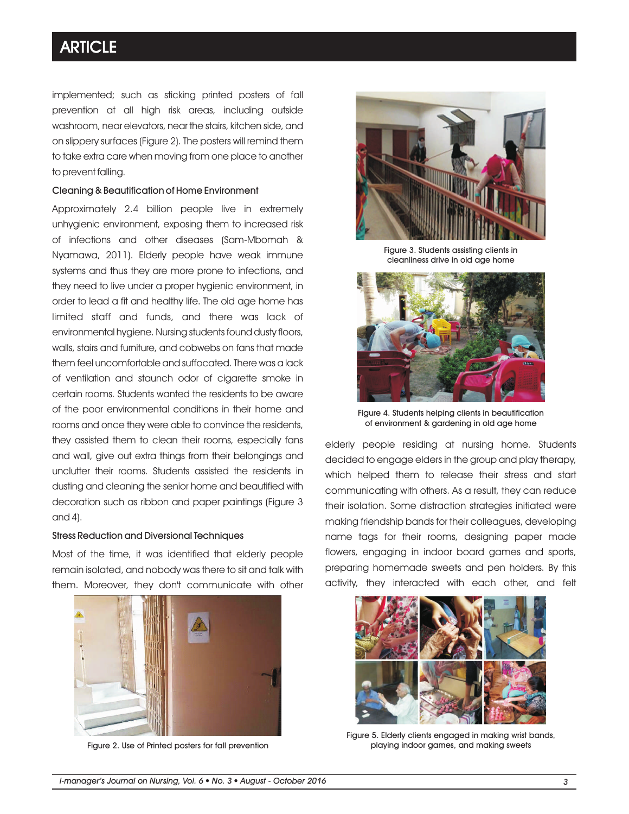## **ARTICLE**

implemented; such as sticking printed posters of fall prevention at all high risk areas, including outside washroom, near elevators, near the stairs, kitchen side, and on slippery surfaces (Figure 2). The posters will remind them to take extra care when moving from one place to another to prevent falling.

#### Cleaning & Beautification of Home Environment

Approximately 2.4 billion people live in extremely unhygienic environment, exposing them to increased risk of infections and other diseases (Sam-Mbomah & Nyamawa, 2011). Elderly people have weak immune systems and thus they are more prone to infections, and they need to live under a proper hygienic environment, in order to lead a fit and healthy life. The old age home has limited staff and funds, and there was lack of environmental hygiene. Nursing students found dusty floors, walls, stairs and furniture, and cobwebs on fans that made them feel uncomfortable and suffocated. There was a lack of ventilation and staunch odor of cigarette smoke in certain rooms. Students wanted the residents to be aware of the poor environmental conditions in their home and rooms and once they were able to convince the residents, they assisted them to clean their rooms, especially fans and wall, give out extra things from their belongings and unclutter their rooms. Students assisted the residents in dusting and cleaning the senior home and beautified with decoration such as ribbon and paper paintings (Figure 3 and  $4$ ).

### Stress Reduction and Diversional Techniques

Most of the time, it was identified that elderly people remain isolated, and nobody was there to sit and talk with them. Moreover, they don't communicate with other



Figure 2. Use of Printed posters for fall prevention



Figure 3. Students assisting clients in cleanliness drive in old age home



Figure 4. Students helping clients in beautification of environment & gardening in old age home

elderly people residing at nursing home. Students decided to engage elders in the group and play therapy, which helped them to release their stress and start communicating with others. As a result, they can reduce their isolation. Some distraction strategies initiated were making friendship bands for their colleagues, developing name tags for their rooms, designing paper made flowers, engaging in indoor board games and sports, preparing homemade sweets and pen holders. By this activity, they interacted with each other, and felt



Figure 5. Elderly clients engaged in making wrist bands, playing indoor games, and making sweets